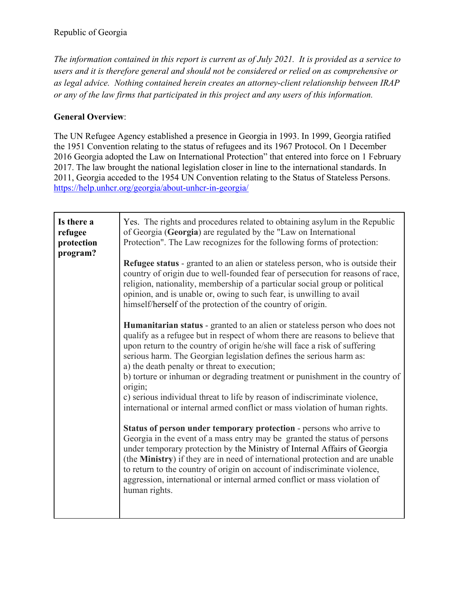*The information contained in this report is current as of July 2021. It is provided as a service to users and it is therefore general and should not be considered or relied on as comprehensive or as legal advice. Nothing contained herein creates an attorney-client relationship between IRAP or any of the law firms that participated in this project and any users of this information.* 

## **General Overview**:

The UN Refugee Agency established a presence in Georgia in 1993. In 1999, Georgia ratified the 1951 Convention relating to the status of refugees and its 1967 Protocol. On 1 December 2016 Georgia adopted the Law on International Protection" that entered into force on 1 February 2017. The law brought the national legislation closer in line to the international standards. In 2011, Georgia acceded to the 1954 UN Convention relating to the Status of Stateless Persons. https://help.unhcr.org/georgia/about-unhcr-in-georgia/

| Is there a<br>refugee<br>protection<br>program? | Yes. The rights and procedures related to obtaining asylum in the Republic<br>of Georgia (Georgia) are regulated by the "Law on International<br>Protection". The Law recognizes for the following forms of protection:                                                                                                                                                                                                                                                                                                                                                                                                                                                                                                                                                                                                                                                                                                                                                                                                                                                                                           |
|-------------------------------------------------|-------------------------------------------------------------------------------------------------------------------------------------------------------------------------------------------------------------------------------------------------------------------------------------------------------------------------------------------------------------------------------------------------------------------------------------------------------------------------------------------------------------------------------------------------------------------------------------------------------------------------------------------------------------------------------------------------------------------------------------------------------------------------------------------------------------------------------------------------------------------------------------------------------------------------------------------------------------------------------------------------------------------------------------------------------------------------------------------------------------------|
|                                                 | <b>Refugee status</b> - granted to an alien or stateless person, who is outside their<br>country of origin due to well-founded fear of persecution for reasons of race,<br>religion, nationality, membership of a particular social group or political<br>opinion, and is unable or, owing to such fear, is unwilling to avail<br>himself/herself of the protection of the country of origin.                                                                                                                                                                                                                                                                                                                                                                                                                                                                                                                                                                                                                                                                                                                     |
|                                                 | <b>Humanitarian status</b> - granted to an alien or stateless person who does not<br>qualify as a refugee but in respect of whom there are reasons to believe that<br>upon return to the country of origin he/she will face a risk of suffering<br>serious harm. The Georgian legislation defines the serious harm as:<br>a) the death penalty or threat to execution;<br>b) torture or inhuman or degrading treatment or punishment in the country of<br>origin;<br>c) serious individual threat to life by reason of indiscriminate violence,<br>international or internal armed conflict or mass violation of human rights.<br><b>Status of person under temporary protection - persons who arrive to</b><br>Georgia in the event of a mass entry may be granted the status of persons<br>under temporary protection by the Ministry of Internal Affairs of Georgia<br>(the Ministry) if they are in need of international protection and are unable<br>to return to the country of origin on account of indiscriminate violence,<br>aggression, international or internal armed conflict or mass violation of |
|                                                 | human rights.                                                                                                                                                                                                                                                                                                                                                                                                                                                                                                                                                                                                                                                                                                                                                                                                                                                                                                                                                                                                                                                                                                     |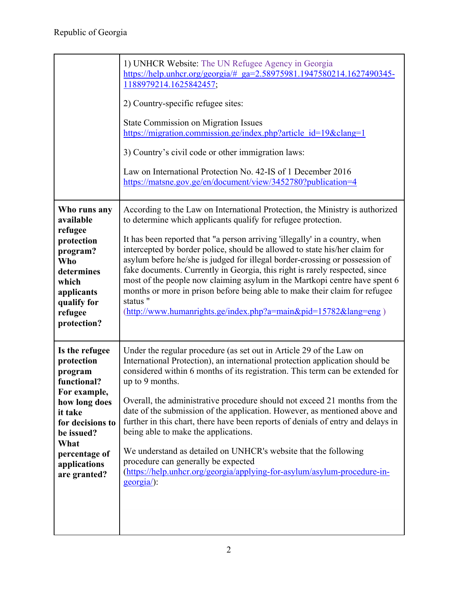|                                                                                                                                                                                               | 1) UNHCR Website: The UN Refugee Agency in Georgia<br>https://help.unhcr.org/georgia/# ga=2.58975981.1947580214.1627490345-<br>1188979214.1625842457;<br>2) Country-specific refugee sites:<br><b>State Commission on Migration Issues</b><br>https://migration.commission.ge/index.php?article_id=19&clang=1<br>3) Country's civil code or other immigration laws:<br>Law on International Protection No. 42-IS of 1 December 2016<br>https://matsne.gov.ge/en/document/view/3452780?publication=4                                                                                                                                                                                                                                                |
|-----------------------------------------------------------------------------------------------------------------------------------------------------------------------------------------------|----------------------------------------------------------------------------------------------------------------------------------------------------------------------------------------------------------------------------------------------------------------------------------------------------------------------------------------------------------------------------------------------------------------------------------------------------------------------------------------------------------------------------------------------------------------------------------------------------------------------------------------------------------------------------------------------------------------------------------------------------|
| Who runs any<br>available<br>refugee<br>protection<br>program?<br><b>Who</b><br>determines<br>which<br>applicants<br>qualify for<br>refugee<br>protection?                                    | According to the Law on International Protection, the Ministry is authorized<br>to determine which applicants qualify for refugee protection.<br>It has been reported that "a person arriving 'illegally' in a country, when<br>intercepted by border police, should be allowed to state his/her claim for<br>asylum before he/she is judged for illegal border-crossing or possession of<br>fake documents. Currently in Georgia, this right is rarely respected, since<br>most of the people now claiming asylum in the Martkopi centre have spent 6<br>months or more in prison before being able to make their claim for refugee<br>status "<br>$(htp://www.human rights.get/index.php?a=main&pid=15782⟨=eng)$                                 |
| Is the refugee<br>protection<br>program<br>functional?<br>For example,<br>how long does<br>it take<br>for decisions to<br>be issued?<br>What<br>percentage of<br>applications<br>are granted? | Under the regular procedure (as set out in Article 29 of the Law on<br>International Protection), an international protection application should be<br>considered within 6 months of its registration. This term can be extended for<br>up to 9 months.<br>Overall, the administrative procedure should not exceed 21 months from the<br>date of the submission of the application. However, as mentioned above and<br>further in this chart, there have been reports of denials of entry and delays in<br>being able to make the applications.<br>We understand as detailed on UNHCR's website that the following<br>procedure can generally be expected<br>(https://help.unhcr.org/georgia/applying-for-asylum/asylum-procedure-in-<br>georgia): |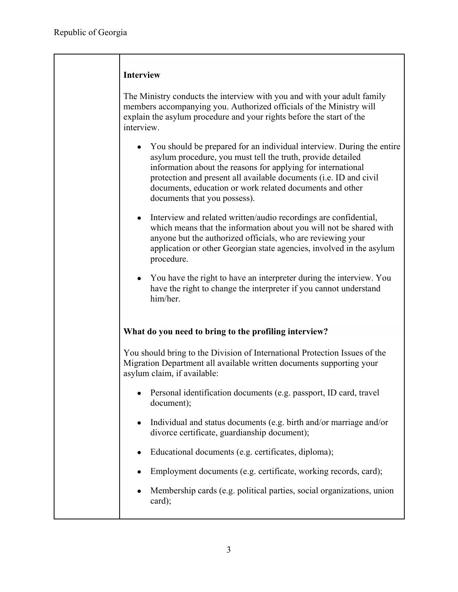| <b>Interview</b> |
|------------------|
|                  |

The Ministry conducts the interview with you and with your adult family members accompanying you. Authorized officials of the Ministry will explain the asylum procedure and your rights before the start of the interview.

- You should be prepared for an individual interview. During the entire asylum procedure, you must tell the truth, provide detailed information about the reasons for applying for international protection and present all available documents (i.e. ID and civil documents, education or work related documents and other documents that you possess).
- Interview and related written/audio recordings are confidential, which means that the information about you will not be shared with anyone but the authorized officials, who are reviewing your application or other Georgian state agencies, involved in the asylum procedure.
- You have the right to have an interpreter during the interview. You have the right to change the interpreter if you cannot understand him/her.

## **What do you need to bring to the profiling interview?**

You should bring to the Division of International Protection Issues of the Migration Department all available written documents supporting your asylum claim, if available:

- Personal identification documents (e.g. passport, ID card, travel document);
- Individual and status documents (e.g. birth and/or marriage and/or divorce certificate, guardianship document);
- Educational documents (e.g. certificates, diploma);
- Employment documents (e.g. certificate, working records, card);
- Membership cards (e.g. political parties, social organizations, union card);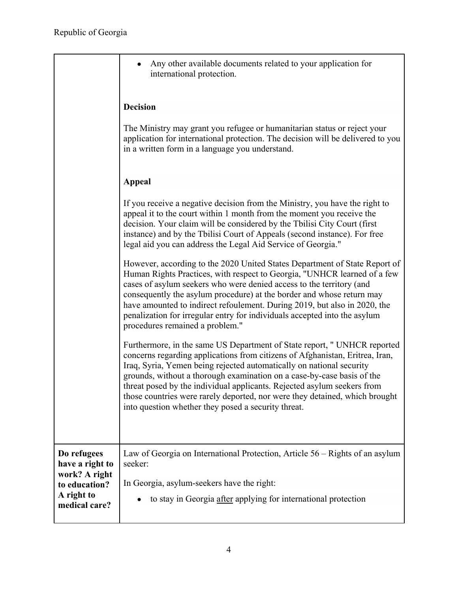|                                                                                                 | Any other available documents related to your application for<br>international protection.                                                                                                                                                                                                                                                                                                                                                                                                                                  |
|-------------------------------------------------------------------------------------------------|-----------------------------------------------------------------------------------------------------------------------------------------------------------------------------------------------------------------------------------------------------------------------------------------------------------------------------------------------------------------------------------------------------------------------------------------------------------------------------------------------------------------------------|
|                                                                                                 | <b>Decision</b>                                                                                                                                                                                                                                                                                                                                                                                                                                                                                                             |
|                                                                                                 | The Ministry may grant you refugee or humanitarian status or reject your<br>application for international protection. The decision will be delivered to you<br>in a written form in a language you understand.                                                                                                                                                                                                                                                                                                              |
|                                                                                                 | <b>Appeal</b>                                                                                                                                                                                                                                                                                                                                                                                                                                                                                                               |
|                                                                                                 | If you receive a negative decision from the Ministry, you have the right to<br>appeal it to the court within 1 month from the moment you receive the<br>decision. Your claim will be considered by the Tbilisi City Court (first<br>instance) and by the Tbilisi Court of Appeals (second instance). For free<br>legal aid you can address the Legal Aid Service of Georgia."                                                                                                                                               |
|                                                                                                 | However, according to the 2020 United States Department of State Report of<br>Human Rights Practices, with respect to Georgia, "UNHCR learned of a few<br>cases of asylum seekers who were denied access to the territory (and<br>consequently the asylum procedure) at the border and whose return may<br>have amounted to indirect refoulement. During 2019, but also in 2020, the<br>penalization for irregular entry for individuals accepted into the asylum<br>procedures remained a problem."                        |
|                                                                                                 | Furthermore, in the same US Department of State report, " UNHCR reported<br>concerns regarding applications from citizens of Afghanistan, Eritrea, Iran,<br>Iraq, Syria, Yemen being rejected automatically on national security<br>grounds, without a thorough examination on a case-by-case basis of the<br>threat posed by the individual applicants. Rejected asylum seekers from<br>those countries were rarely deported, nor were they detained, which brought<br>into question whether they posed a security threat. |
| Do refugees<br>have a right to<br>work? A right<br>to education?<br>A right to<br>medical care? | Law of Georgia on International Protection, Article 56 – Rights of an asylum<br>seeker:                                                                                                                                                                                                                                                                                                                                                                                                                                     |
|                                                                                                 | In Georgia, asylum-seekers have the right:                                                                                                                                                                                                                                                                                                                                                                                                                                                                                  |
|                                                                                                 | to stay in Georgia after applying for international protection                                                                                                                                                                                                                                                                                                                                                                                                                                                              |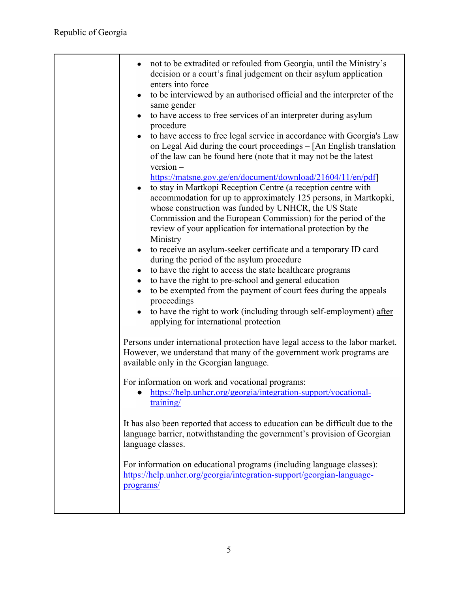| not to be extradited or refouled from Georgia, until the Ministry's<br>decision or a court's final judgement on their asylum application<br>enters into force<br>to be interviewed by an authorised official and the interpreter of the<br>$\bullet$<br>same gender<br>to have access to free services of an interpreter during asylum<br>procedure<br>to have access to free legal service in accordance with Georgia's Law<br>on Legal Aid during the court proceedings - [An English translation<br>of the law can be found here (note that it may not be the latest<br>$version -$<br>https://matsne.gov.ge/en/document/download/21604/11/en/pdf]<br>to stay in Martkopi Reception Centre (a reception centre with<br>$\bullet$<br>accommodation for up to approximately 125 persons, in Martkopki,<br>whose construction was funded by UNHCR, the US State<br>Commission and the European Commission) for the period of the<br>review of your application for international protection by the<br>Ministry<br>to receive an asylum-seeker certificate and a temporary ID card<br>$\bullet$<br>during the period of the asylum procedure<br>to have the right to access the state healthcare programs<br>$\bullet$<br>to have the right to pre-school and general education<br>$\bullet$<br>to be exempted from the payment of court fees during the appeals<br>proceedings<br>to have the right to work (including through self-employment) after<br>applying for international protection<br>Persons under international protection have legal access to the labor market.<br>However, we understand that many of the government work programs are<br>available only in the Georgian language.<br>For information on work and vocational programs:<br>https://help.unhcr.org/georgia/integration-support/vocational-<br>training/<br>It has also been reported that access to education can be difficult due to the<br>language barrier, notwithstanding the government's provision of Georgian<br>language classes.<br>For information on educational programs (including language classes):<br>https://help.unhcr.org/georgia/integration-support/georgian-language-<br>programs/ |
|------------------------------------------------------------------------------------------------------------------------------------------------------------------------------------------------------------------------------------------------------------------------------------------------------------------------------------------------------------------------------------------------------------------------------------------------------------------------------------------------------------------------------------------------------------------------------------------------------------------------------------------------------------------------------------------------------------------------------------------------------------------------------------------------------------------------------------------------------------------------------------------------------------------------------------------------------------------------------------------------------------------------------------------------------------------------------------------------------------------------------------------------------------------------------------------------------------------------------------------------------------------------------------------------------------------------------------------------------------------------------------------------------------------------------------------------------------------------------------------------------------------------------------------------------------------------------------------------------------------------------------------------------------------------------------------------------------------------------------------------------------------------------------------------------------------------------------------------------------------------------------------------------------------------------------------------------------------------------------------------------------------------------------------------------------------------------------------------------------------------------------------------------------------------------------------|
|                                                                                                                                                                                                                                                                                                                                                                                                                                                                                                                                                                                                                                                                                                                                                                                                                                                                                                                                                                                                                                                                                                                                                                                                                                                                                                                                                                                                                                                                                                                                                                                                                                                                                                                                                                                                                                                                                                                                                                                                                                                                                                                                                                                          |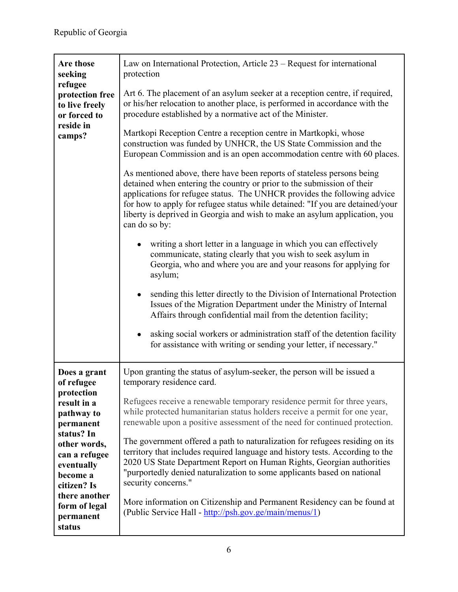| Are those<br>seeking<br>refugee<br>protection free<br>to live freely<br>or forced to<br>reside in<br>camps?                                                                                                                         | Law on International Protection, Article $23$ – Request for international<br>protection<br>Art 6. The placement of an asylum seeker at a reception centre, if required,<br>or his/her relocation to another place, is performed in accordance with the<br>procedure established by a normative act of the Minister.<br>Martkopi Reception Centre a reception centre in Martkopki, whose<br>construction was funded by UNHCR, the US State Commission and the<br>European Commission and is an open accommodation centre with 60 places.<br>As mentioned above, there have been reports of stateless persons being<br>detained when entering the country or prior to the submission of their<br>applications for refugee status. The UNHCR provides the following advice<br>for how to apply for refugee status while detained: "If you are detained/your<br>liberty is deprived in Georgia and wish to make an asylum application, you<br>can do so by:<br>writing a short letter in a language in which you can effectively<br>communicate, stating clearly that you wish to seek asylum in<br>Georgia, who and where you are and your reasons for applying for<br>asylum;<br>sending this letter directly to the Division of International Protection<br>Issues of the Migration Department under the Ministry of Internal<br>Affairs through confidential mail from the detention facility; |
|-------------------------------------------------------------------------------------------------------------------------------------------------------------------------------------------------------------------------------------|------------------------------------------------------------------------------------------------------------------------------------------------------------------------------------------------------------------------------------------------------------------------------------------------------------------------------------------------------------------------------------------------------------------------------------------------------------------------------------------------------------------------------------------------------------------------------------------------------------------------------------------------------------------------------------------------------------------------------------------------------------------------------------------------------------------------------------------------------------------------------------------------------------------------------------------------------------------------------------------------------------------------------------------------------------------------------------------------------------------------------------------------------------------------------------------------------------------------------------------------------------------------------------------------------------------------------------------------------------------------------------------------|
|                                                                                                                                                                                                                                     | asking social workers or administration staff of the detention facility<br>for assistance with writing or sending your letter, if necessary."                                                                                                                                                                                                                                                                                                                                                                                                                                                                                                                                                                                                                                                                                                                                                                                                                                                                                                                                                                                                                                                                                                                                                                                                                                                  |
| Does a grant<br>of refugee<br>protection<br>result in a<br>pathway to<br>permanent<br>status? In<br>other words,<br>can a refugee<br>eventually<br>become a<br>citizen? Is<br>there another<br>form of legal<br>permanent<br>status | Upon granting the status of asylum-seeker, the person will be issued a<br>temporary residence card.<br>Refugees receive a renewable temporary residence permit for three years,<br>while protected humanitarian status holders receive a permit for one year,<br>renewable upon a positive assessment of the need for continued protection.<br>The government offered a path to naturalization for refugees residing on its<br>territory that includes required language and history tests. According to the<br>2020 US State Department Report on Human Rights, Georgian authorities<br>"purportedly denied naturalization to some applicants based on national<br>security concerns."<br>More information on Citizenship and Permanent Residency can be found at<br>(Public Service Hall - http://psh.gov.ge/main/menus/1)                                                                                                                                                                                                                                                                                                                                                                                                                                                                                                                                                                   |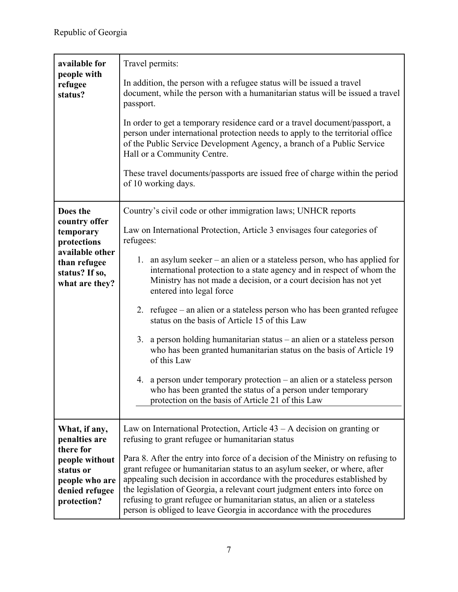| people with<br>In addition, the person with a refugee status will be issued a travel<br>refugee<br>document, while the person with a humanitarian status will be issued a travel<br>status?<br>passport.<br>In order to get a temporary residence card or a travel document/passport, a                                                                                                                                                                                                                                                                                    |
|----------------------------------------------------------------------------------------------------------------------------------------------------------------------------------------------------------------------------------------------------------------------------------------------------------------------------------------------------------------------------------------------------------------------------------------------------------------------------------------------------------------------------------------------------------------------------|
|                                                                                                                                                                                                                                                                                                                                                                                                                                                                                                                                                                            |
| person under international protection needs to apply to the territorial office<br>of the Public Service Development Agency, a branch of a Public Service<br>Hall or a Community Centre.<br>These travel documents/passports are issued free of charge within the period                                                                                                                                                                                                                                                                                                    |
| of 10 working days.                                                                                                                                                                                                                                                                                                                                                                                                                                                                                                                                                        |
| Does the<br>Country's civil code or other immigration laws; UNHCR reports                                                                                                                                                                                                                                                                                                                                                                                                                                                                                                  |
| country offer<br>Law on International Protection, Article 3 envisages four categories of<br>temporary<br>refugees:<br>protections                                                                                                                                                                                                                                                                                                                                                                                                                                          |
| available other<br>1. an asylum seeker – an alien or a stateless person, who has applied for<br>than refugee<br>international protection to a state agency and in respect of whom the<br>status? If so,<br>Ministry has not made a decision, or a court decision has not yet<br>what are they?<br>entered into legal force                                                                                                                                                                                                                                                 |
| 2. refugee – an alien or a stateless person who has been granted refugee<br>status on the basis of Article 15 of this Law                                                                                                                                                                                                                                                                                                                                                                                                                                                  |
| 3. a person holding humanitarian status $-$ an alien or a stateless person<br>who has been granted humanitarian status on the basis of Article 19<br>of this Law                                                                                                                                                                                                                                                                                                                                                                                                           |
| 4. a person under temporary protection – an alien or a stateless person<br>who has been granted the status of a person under temporary<br>protection on the basis of Article 21 of this Law                                                                                                                                                                                                                                                                                                                                                                                |
| Law on International Protection, Article $43 - A$ decision on granting or<br>What, if any,                                                                                                                                                                                                                                                                                                                                                                                                                                                                                 |
| refusing to grant refugee or humanitarian status<br>penalties are                                                                                                                                                                                                                                                                                                                                                                                                                                                                                                          |
| there for<br>Para 8. After the entry into force of a decision of the Ministry on refusing to<br>people without<br>grant refugee or humanitarian status to an asylum seeker, or where, after<br>status or<br>appealing such decision in accordance with the procedures established by<br>people who are<br>the legislation of Georgia, a relevant court judgment enters into force on<br>denied refugee<br>refusing to grant refugee or humanitarian status, an alien or a stateless<br>protection?<br>person is obliged to leave Georgia in accordance with the procedures |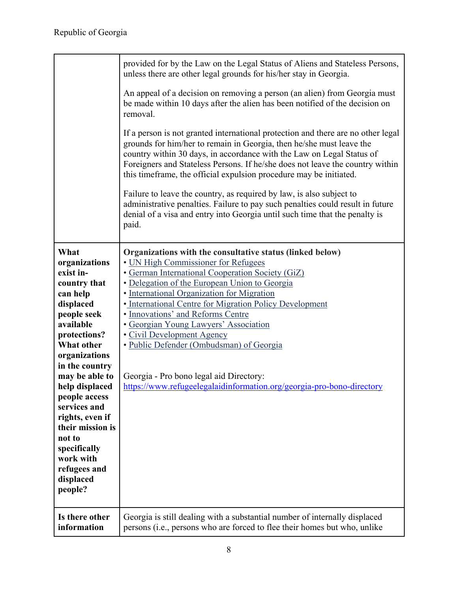|                                  | provided for by the Law on the Legal Status of Aliens and Stateless Persons,<br>unless there are other legal grounds for his/her stay in Georgia.                                                                                                                                                                                                                                        |
|----------------------------------|------------------------------------------------------------------------------------------------------------------------------------------------------------------------------------------------------------------------------------------------------------------------------------------------------------------------------------------------------------------------------------------|
|                                  | An appeal of a decision on removing a person (an alien) from Georgia must<br>be made within 10 days after the alien has been notified of the decision on<br>removal.                                                                                                                                                                                                                     |
|                                  | If a person is not granted international protection and there are no other legal<br>grounds for him/her to remain in Georgia, then he/she must leave the<br>country within 30 days, in accordance with the Law on Legal Status of<br>Foreigners and Stateless Persons. If he/she does not leave the country within<br>this timeframe, the official expulsion procedure may be initiated. |
|                                  | Failure to leave the country, as required by law, is also subject to<br>administrative penalties. Failure to pay such penalties could result in future<br>denial of a visa and entry into Georgia until such time that the penalty is<br>paid.                                                                                                                                           |
| What                             | Organizations with the consultative status (linked below)                                                                                                                                                                                                                                                                                                                                |
| organizations                    | • UN High Commissioner for Refugees                                                                                                                                                                                                                                                                                                                                                      |
| exist in-                        | · German International Cooperation Society (GiZ)                                                                                                                                                                                                                                                                                                                                         |
| country that                     | • Delegation of the European Union to Georgia                                                                                                                                                                                                                                                                                                                                            |
| can help                         | · International Organization for Migration                                                                                                                                                                                                                                                                                                                                               |
| displaced                        | • International Centre for Migration Policy Development                                                                                                                                                                                                                                                                                                                                  |
| people seek                      | · Innovations' and Reforms Centre                                                                                                                                                                                                                                                                                                                                                        |
| available                        | • Georgian Young Lawyers' Association                                                                                                                                                                                                                                                                                                                                                    |
| protections?                     | • Civil Development Agency                                                                                                                                                                                                                                                                                                                                                               |
| What other                       | • Public Defender (Ombudsman) of Georgia                                                                                                                                                                                                                                                                                                                                                 |
| organizations                    |                                                                                                                                                                                                                                                                                                                                                                                          |
| in the country<br>may be able to |                                                                                                                                                                                                                                                                                                                                                                                          |
| help displaced                   | Georgia - Pro bono legal aid Directory:<br>https://www.refugeelegalaidinformation.org/georgia-pro-bono-directory                                                                                                                                                                                                                                                                         |
| people access                    |                                                                                                                                                                                                                                                                                                                                                                                          |
| services and                     |                                                                                                                                                                                                                                                                                                                                                                                          |
| rights, even if                  |                                                                                                                                                                                                                                                                                                                                                                                          |
| their mission is                 |                                                                                                                                                                                                                                                                                                                                                                                          |
| not to                           |                                                                                                                                                                                                                                                                                                                                                                                          |
| specifically                     |                                                                                                                                                                                                                                                                                                                                                                                          |
| work with                        |                                                                                                                                                                                                                                                                                                                                                                                          |
| refugees and                     |                                                                                                                                                                                                                                                                                                                                                                                          |
| displaced                        |                                                                                                                                                                                                                                                                                                                                                                                          |
| people?                          |                                                                                                                                                                                                                                                                                                                                                                                          |
| Is there other<br>information    | Georgia is still dealing with a substantial number of internally displaced<br>persons (i.e., persons who are forced to flee their homes but who, unlike                                                                                                                                                                                                                                  |